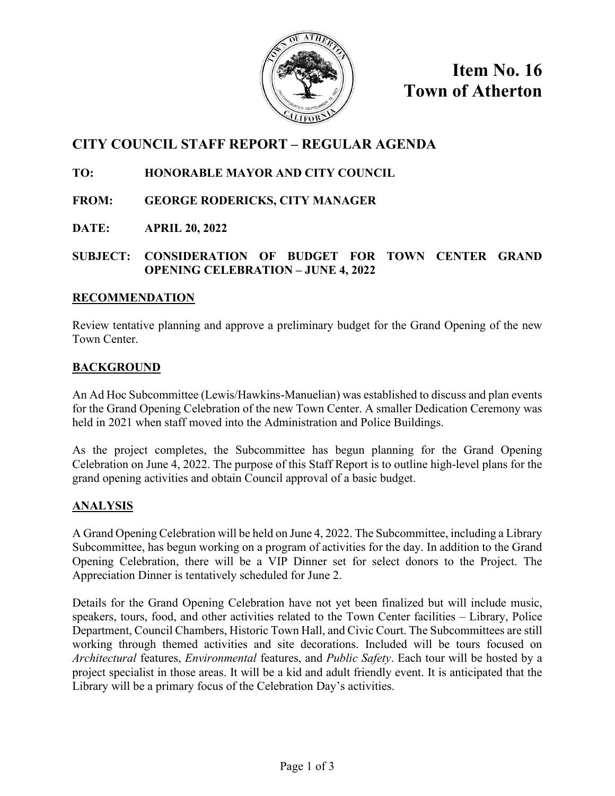

**Item No. 16 Town of Atherton**

# **CITY COUNCIL STAFF REPORT – REGULAR AGENDA**

## **TO: HONORABLE MAYOR AND CITY COUNCIL**

- **FROM: GEORGE RODERICKS, CITY MANAGER**
- **DATE: APRIL 20, 2022**

## **SUBJECT: CONSIDERATION OF BUDGET FOR TOWN CENTER GRAND OPENING CELEBRATION – JUNE 4, 2022**

### **RECOMMENDATION**

Review tentative planning and approve a preliminary budget for the Grand Opening of the new Town Center.

## **BACKGROUND**

An Ad Hoc Subcommittee (Lewis/Hawkins-Manuelian) was established to discuss and plan events for the Grand Opening Celebration of the new Town Center. A smaller Dedication Ceremony was held in 2021 when staff moved into the Administration and Police Buildings.

As the project completes, the Subcommittee has begun planning for the Grand Opening Celebration on June 4, 2022. The purpose of this Staff Report is to outline high-level plans for the grand opening activities and obtain Council approval of a basic budget.

## **ANALYSIS**

A Grand Opening Celebration will be held on June 4, 2022. The Subcommittee, including a Library Subcommittee, has begun working on a program of activities for the day. In addition to the Grand Opening Celebration, there will be a VIP Dinner set for select donors to the Project. The Appreciation Dinner is tentatively scheduled for June 2.

Details for the Grand Opening Celebration have not yet been finalized but will include music, speakers, tours, food, and other activities related to the Town Center facilities – Library, Police Department, Council Chambers, Historic Town Hall, and Civic Court. The Subcommittees are still working through themed activities and site decorations. Included will be tours focused on *Architectural* features, *Environmental* features, and *Public Safety*. Each tour will be hosted by a project specialist in those areas. It will be a kid and adult friendly event. It is anticipated that the Library will be a primary focus of the Celebration Day's activities.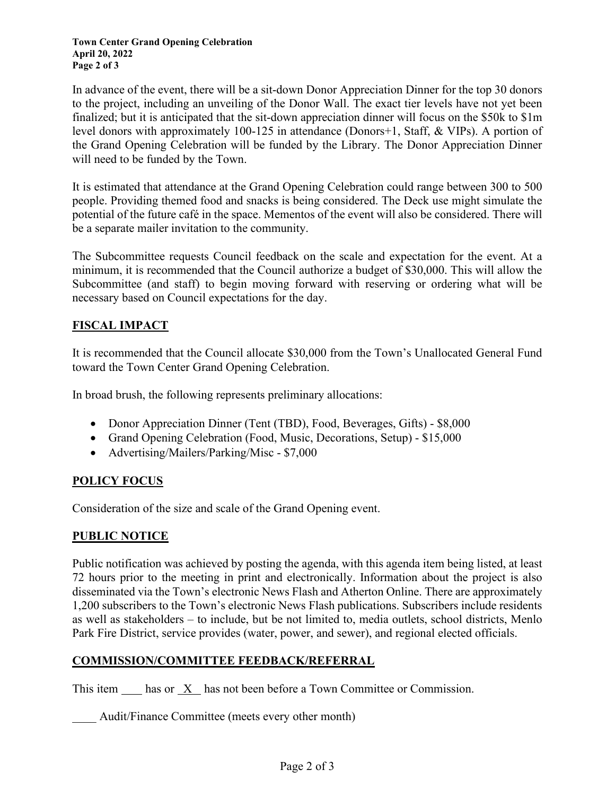In advance of the event, there will be a sit-down Donor Appreciation Dinner for the top 30 donors to the project, including an unveiling of the Donor Wall. The exact tier levels have not yet been finalized; but it is anticipated that the sit-down appreciation dinner will focus on the \$50k to \$1m level donors with approximately 100-125 in attendance (Donors+1, Staff, & VIPs). A portion of the Grand Opening Celebration will be funded by the Library. The Donor Appreciation Dinner will need to be funded by the Town.

It is estimated that attendance at the Grand Opening Celebration could range between 300 to 500 people. Providing themed food and snacks is being considered. The Deck use might simulate the potential of the future café in the space. Mementos of the event will also be considered. There will be a separate mailer invitation to the community.

The Subcommittee requests Council feedback on the scale and expectation for the event. At a minimum, it is recommended that the Council authorize a budget of \$30,000. This will allow the Subcommittee (and staff) to begin moving forward with reserving or ordering what will be necessary based on Council expectations for the day.

## **FISCAL IMPACT**

It is recommended that the Council allocate \$30,000 from the Town's Unallocated General Fund toward the Town Center Grand Opening Celebration.

In broad brush, the following represents preliminary allocations:

- Donor Appreciation Dinner (Tent (TBD), Food, Beverages, Gifts) \$8,000
- Grand Opening Celebration (Food, Music, Decorations, Setup) \$15,000
- Advertising/Mailers/Parking/Misc \$7,000

### **POLICY FOCUS**

Consideration of the size and scale of the Grand Opening event.

### **PUBLIC NOTICE**

Public notification was achieved by posting the agenda, with this agenda item being listed, at least 72 hours prior to the meeting in print and electronically. Information about the project is also disseminated via the Town's electronic News Flash and Atherton Online. There are approximately 1,200 subscribers to the Town's electronic News Flash publications. Subscribers include residents as well as stakeholders – to include, but be not limited to, media outlets, school districts, Menlo Park Fire District, service provides (water, power, and sewer), and regional elected officials.

### **COMMISSION/COMMITTEE FEEDBACK/REFERRAL**

This item has or X has not been before a Town Committee or Commission.

Audit/Finance Committee (meets every other month)